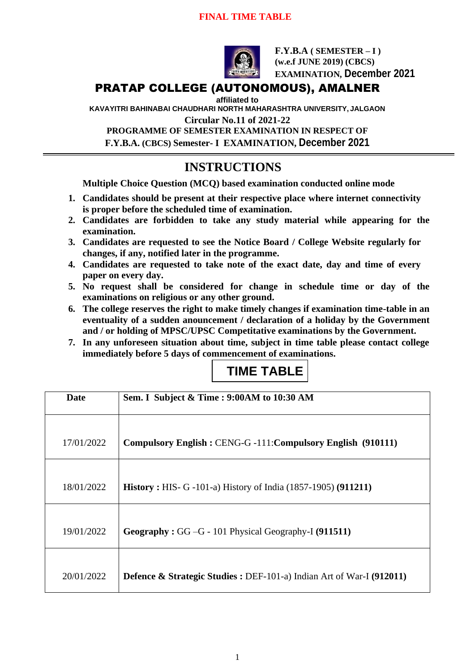### **FINAL TIME TABLE**



**F.Y.B.A ( SEMESTER – I ) (w.e.f JUNE 2019) (CBCS) EXAMINATION, December 2021**

## PRATAP COLLEGE (AUTONOMOUS), AMALNER

**affiliated to** 

**KAVAYITRI BAHINABAI CHAUDHARI NORTH MAHARASHTRA UNIVERSITY, JALGAON**

**Circular No.11 of 2021-22**

**PROGRAMME OF SEMESTER EXAMINATION IN RESPECT OF F.Y.B.A. (CBCS) Semester- I EXAMINATION, December 2021**

## **INSTRUCTIONS**

**Multiple Choice Question (MCQ) based examination conducted online mode**

- **1. Candidates should be present at their respective place where internet connectivity is proper before the scheduled time of examination.**
- **2. Candidates are forbidden to take any study material while appearing for the examination.**
- **3. Candidates are requested to see the Notice Board / College Website regularly for changes, if any, notified later in the programme.**
- **4. Candidates are requested to take note of the exact date, day and time of every paper on every day.**
- **5. No request shall be considered for change in schedule time or day of the examinations on religious or any other ground.**
- **6. The college reserves the right to make timely changes if examination time-table in an eventuality of a sudden anouncement / declaration of a holiday by the Government and / or holding of MPSC/UPSC Competitative examinations by the Government.**
- **7. In any unforeseen situation about time, subject in time table please contact college immediately before 5 days of commencement of examinations.**

# **TIME TABLE**

| Date       | Sem. I Subject & Time : 9:00AM to 10:30 AM                                       |
|------------|----------------------------------------------------------------------------------|
|            |                                                                                  |
| 17/01/2022 | Compulsory English: CENG-G-111: Compulsory English (910111)                      |
|            |                                                                                  |
| 18/01/2022 | <b>History</b> : HIS- G -101-a) History of India (1857-1905) (911211)            |
|            |                                                                                  |
| 19/01/2022 | Geography: GG-G - 101 Physical Geography-I (911511)                              |
|            |                                                                                  |
| 20/01/2022 | <b>Defence &amp; Strategic Studies : DEF-101-a)</b> Indian Art of War-I (912011) |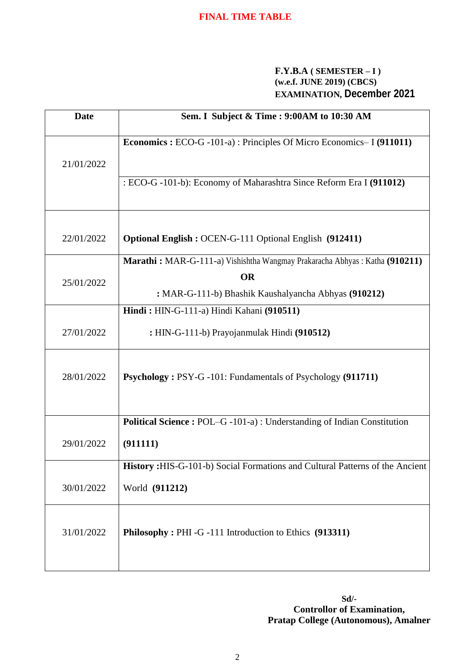#### **F.Y.B.A ( SEMESTER – I ) (w.e.f. JUNE 2019) (CBCS) EXAMINATION, December 2021**

| <b>Date</b> | Sem. I Subject & Time : 9:00AM to 10:30 AM                                           |
|-------------|--------------------------------------------------------------------------------------|
| 21/01/2022  | <b>Economics :</b> ECO-G -101-a) : Principles Of Micro Economics-I (911011)          |
|             | : ECO-G -101-b): Economy of Maharashtra Since Reform Era I (911012)                  |
| 22/01/2022  | <b>Optional English: OCEN-G-111 Optional English (912411)</b>                        |
| 25/01/2022  | Marathi: MAR-G-111-a) Vishishtha Wangmay Prakaracha Abhyas: Katha (910211)           |
|             | <b>OR</b>                                                                            |
|             | : MAR-G-111-b) Bhashik Kaushalyancha Abhyas (910212)                                 |
|             | Hindi: HIN-G-111-a) Hindi Kahani (910511)                                            |
| 27/01/2022  | : HIN-G-111-b) Prayojanmulak Hindi (910512)                                          |
| 28/01/2022  | <b>Psychology: PSY-G-101: Fundamentals of Psychology (911711)</b>                    |
|             | <b>Political Science : POL-G-101-a) : Understanding of Indian Constitution</b>       |
| 29/01/2022  | (911111)                                                                             |
|             | <b>History</b> : HIS-G-101-b) Social Formations and Cultural Patterns of the Ancient |
| 30/01/2022  | World (911212)                                                                       |
| 31/01/2022  | Philosophy: PHI -G -111 Introduction to Ethics (913311)                              |

**Sd/- Controllor of Examination, Pratap College (Autonomous), Amalner**